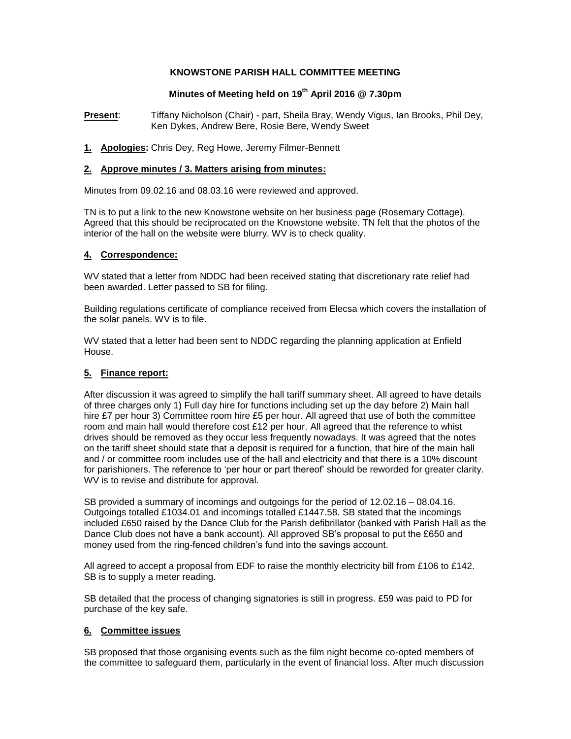## **KNOWSTONE PARISH HALL COMMITTEE MEETING**

# **Minutes of Meeting held on 19th April 2016 @ 7.30pm**

**Present**: Tiffany Nicholson (Chair) - part, Sheila Bray, Wendy Vigus, Ian Brooks, Phil Dey, Ken Dykes, Andrew Bere, Rosie Bere, Wendy Sweet

**1. Apologies:** Chris Dey, Reg Howe, Jeremy Filmer-Bennett

## **2. Approve minutes / 3. Matters arising from minutes:**

Minutes from 09.02.16 and 08.03.16 were reviewed and approved.

TN is to put a link to the new Knowstone website on her business page (Rosemary Cottage). Agreed that this should be reciprocated on the Knowstone website. TN felt that the photos of the interior of the hall on the website were blurry. WV is to check quality.

## **4. Correspondence:**

WV stated that a letter from NDDC had been received stating that discretionary rate relief had been awarded. Letter passed to SB for filing.

Building regulations certificate of compliance received from Elecsa which covers the installation of the solar panels. WV is to file.

WV stated that a letter had been sent to NDDC regarding the planning application at Enfield House.

## **5. Finance report:**

After discussion it was agreed to simplify the hall tariff summary sheet. All agreed to have details of three charges only 1) Full day hire for functions including set up the day before 2) Main hall hire £7 per hour 3) Committee room hire £5 per hour. All agreed that use of both the committee room and main hall would therefore cost  $£12$  per hour. All agreed that the reference to whist drives should be removed as they occur less frequently nowadays. It was agreed that the notes on the tariff sheet should state that a deposit is required for a function, that hire of the main hall and / or committee room includes use of the hall and electricity and that there is a 10% discount for parishioners. The reference to 'per hour or part thereof' should be reworded for greater clarity. WV is to revise and distribute for approval.

SB provided a summary of incomings and outgoings for the period of 12.02.16 – 08.04.16. Outgoings totalled £1034.01 and incomings totalled £1447.58. SB stated that the incomings included £650 raised by the Dance Club for the Parish defibrillator (banked with Parish Hall as the Dance Club does not have a bank account). All approved SB's proposal to put the £650 and money used from the ring-fenced children's fund into the savings account.

All agreed to accept a proposal from EDF to raise the monthly electricity bill from £106 to £142. SB is to supply a meter reading.

SB detailed that the process of changing signatories is still in progress. £59 was paid to PD for purchase of the key safe.

## **6. Committee issues**

SB proposed that those organising events such as the film night become co-opted members of the committee to safeguard them, particularly in the event of financial loss. After much discussion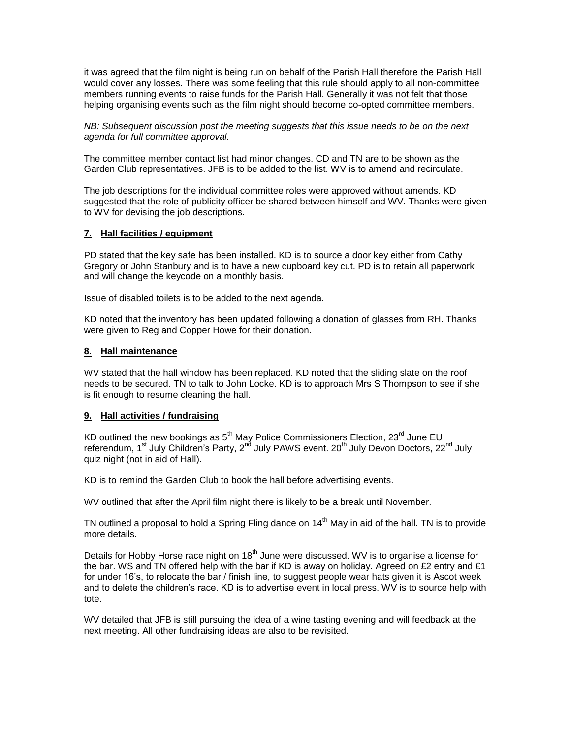it was agreed that the film night is being run on behalf of the Parish Hall therefore the Parish Hall would cover any losses. There was some feeling that this rule should apply to all non-committee members running events to raise funds for the Parish Hall. Generally it was not felt that those helping organising events such as the film night should become co-opted committee members.

*NB: Subsequent discussion post the meeting suggests that this issue needs to be on the next agenda for full committee approval.* 

The committee member contact list had minor changes. CD and TN are to be shown as the Garden Club representatives. JFB is to be added to the list. WV is to amend and recirculate.

The job descriptions for the individual committee roles were approved without amends. KD suggested that the role of publicity officer be shared between himself and WV. Thanks were given to WV for devising the job descriptions.

## **7. Hall facilities / equipment**

PD stated that the key safe has been installed. KD is to source a door key either from Cathy Gregory or John Stanbury and is to have a new cupboard key cut. PD is to retain all paperwork and will change the keycode on a monthly basis.

Issue of disabled toilets is to be added to the next agenda.

KD noted that the inventory has been updated following a donation of glasses from RH. Thanks were given to Reg and Copper Howe for their donation.

## **8. Hall maintenance**

WV stated that the hall window has been replaced. KD noted that the sliding slate on the roof needs to be secured. TN to talk to John Locke. KD is to approach Mrs S Thompson to see if she is fit enough to resume cleaning the hall.

## **9. Hall activities / fundraising**

KD outlined the new bookings as 5<sup>th</sup> May Police Commissioners Election, 23<sup>rd</sup> June EU referendum, 1<sup>st</sup> July Children's Party, 2<sup>nd</sup> July PAWS event. 20<sup>th</sup> July Devon Doctors, 22<sup>nd</sup> July quiz night (not in aid of Hall).

KD is to remind the Garden Club to book the hall before advertising events.

WV outlined that after the April film night there is likely to be a break until November.

TN outlined a proposal to hold a Spring Fling dance on  $14<sup>th</sup>$  May in aid of the hall. TN is to provide more details.

Details for Hobby Horse race night on  $18<sup>th</sup>$  June were discussed. WV is to organise a license for the bar. WS and TN offered help with the bar if KD is away on holiday. Agreed on £2 entry and £1 for under 16's, to relocate the bar / finish line, to suggest people wear hats given it is Ascot week and to delete the children's race. KD is to advertise event in local press. WV is to source help with tote.

WV detailed that JFB is still pursuing the idea of a wine tasting evening and will feedback at the next meeting. All other fundraising ideas are also to be revisited.